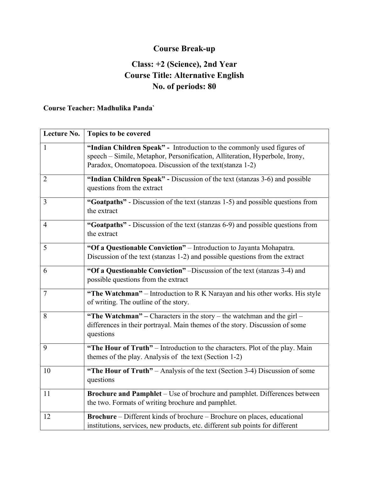# **Course Break-up**

### **Class: +2 (Science), 2nd Year Course Title: Alternative English No. of periods: 80**

#### **Course Teacher: Madhulika Panda`**

| Lecture No.    | Topics to be covered                                                                                                                                                                                              |
|----------------|-------------------------------------------------------------------------------------------------------------------------------------------------------------------------------------------------------------------|
| $\mathbf{1}$   | "Indian Children Speak" - Introduction to the commonly used figures of<br>speech - Simile, Metaphor, Personification, Alliteration, Hyperbole, Irony,<br>Paradox, Onomatopoea. Discussion of the text(stanza 1-2) |
| $\overline{2}$ | "Indian Children Speak" - Discussion of the text (stanzas 3-6) and possible<br>questions from the extract                                                                                                         |
| $\overline{3}$ | "Goatpaths" - Discussion of the text (stanzas 1-5) and possible questions from<br>the extract                                                                                                                     |
| $\overline{4}$ | "Goatpaths" - Discussion of the text (stanzas 6-9) and possible questions from<br>the extract                                                                                                                     |
| 5              | "Of a Questionable Conviction" - Introduction to Jayanta Mohapatra.<br>Discussion of the text (stanzas 1-2) and possible questions from the extract                                                               |
| 6              | "Of a Questionable Conviction" –Discussion of the text (stanzas 3-4) and<br>possible questions from the extract                                                                                                   |
| $\overline{7}$ | "The Watchman" – Introduction to R K Narayan and his other works. His style<br>of writing. The outline of the story.                                                                                              |
| 8              | "The Watchman" – Characters in the story – the watchman and the girl –<br>differences in their portrayal. Main themes of the story. Discussion of some<br>questions                                               |
| 9              | "The Hour of Truth" – Introduction to the characters. Plot of the play. Main<br>themes of the play. Analysis of the text (Section 1-2)                                                                            |
| 10             | "The Hour of Truth" – Analysis of the text (Section 3-4) Discussion of some<br>questions                                                                                                                          |
| 11             | Brochure and Pamphlet – Use of brochure and pamphlet. Differences between<br>the two. Formats of writing brochure and pamphlet.                                                                                   |
| 12             | Brochure - Different kinds of brochure - Brochure on places, educational<br>institutions, services, new products, etc. different sub points for different                                                         |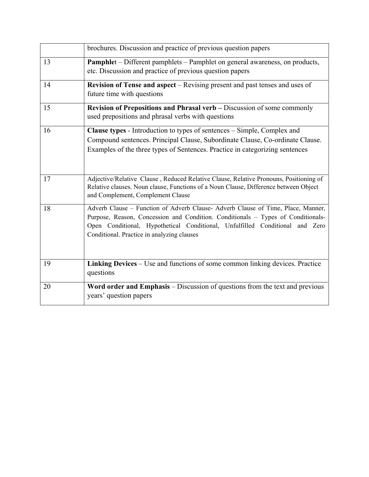|    | brochures. Discussion and practice of previous question papers                                                                                                                                                                                                                                     |
|----|----------------------------------------------------------------------------------------------------------------------------------------------------------------------------------------------------------------------------------------------------------------------------------------------------|
| 13 | <b>Pamphlet</b> – Different pamphlets – Pamphlet on general awareness, on products,<br>etc. Discussion and practice of previous question papers                                                                                                                                                    |
| 14 | Revision of Tense and aspect - Revising present and past tenses and uses of<br>future time with questions                                                                                                                                                                                          |
| 15 | Revision of Prepositions and Phrasal verb – Discussion of some commonly<br>used prepositions and phrasal verbs with questions                                                                                                                                                                      |
| 16 | Clause types - Introduction to types of sentences – Simple, Complex and<br>Compound sentences. Principal Clause, Subordinate Clause, Co-ordinate Clause.<br>Examples of the three types of Sentences. Practice in categorizing sentences                                                           |
| 17 | Adjective/Relative Clause, Reduced Relative Clause, Relative Pronouns, Positioning of<br>Relative clauses. Noun clause, Functions of a Noun Clause, Difference between Object<br>and Complement, Complement Clause                                                                                 |
| 18 | Adverb Clause - Function of Adverb Clause- Adverb Clause of Time, Place, Manner,<br>Purpose, Reason, Concession and Condition. Conditionals - Types of Conditionals-<br>Open Conditional, Hypothetical Conditional, Unfulfilled Conditional and Zero<br>Conditional. Practice in analyzing clauses |
| 19 | Linking Devices – Use and functions of some common linking devices. Practice<br>questions                                                                                                                                                                                                          |
| 20 | Word order and Emphasis – Discussion of questions from the text and previous<br>years' question papers                                                                                                                                                                                             |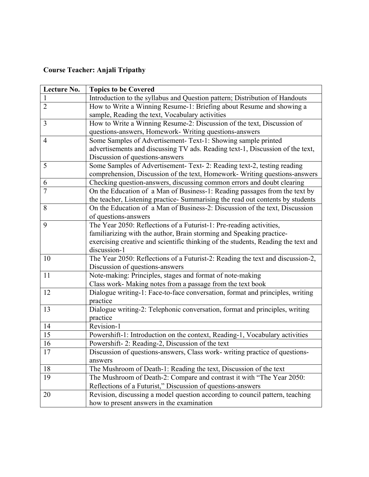# **Course Teacher: Anjali Tripathy**

| Lecture No.    | <b>Topics to be Covered</b>                                                       |
|----------------|-----------------------------------------------------------------------------------|
|                | Introduction to the syllabus and Question pattern; Distribution of Handouts       |
| $\overline{2}$ | How to Write a Winning Resume-1: Briefing about Resume and showing a              |
|                | sample, Reading the text, Vocabulary activities                                   |
| 3              | How to Write a Winning Resume-2: Discussion of the text, Discussion of            |
|                | questions-answers, Homework- Writing questions-answers                            |
| $\overline{4}$ | Some Samples of Advertisement- Text-1: Showing sample printed                     |
|                | advertisements and discussing TV ads. Reading text-1, Discussion of the text,     |
|                | Discussion of questions-answers                                                   |
| 5              | Some Samples of Advertisement- Text- 2: Reading text-2, testing reading           |
|                | comprehension, Discussion of the text, Homework-Writing questions-answers         |
| 6              | Checking question-answers, discussing common errors and doubt clearing            |
| $\overline{7}$ | On the Education of a Man of Business-1: Reading passages from the text by        |
|                | the teacher, Listening practice- Summarising the read out contents by students    |
| 8              | On the Education of a Man of Business-2: Discussion of the text, Discussion       |
|                | of questions-answers                                                              |
| 9              | The Year 2050: Reflections of a Futurist-1: Pre-reading activities,               |
|                | familiarizing with the author, Brain storming and Speaking practice-              |
|                | exercising creative and scientific thinking of the students, Reading the text and |
|                | discussion-1                                                                      |
| 10             | The Year 2050: Reflections of a Futurist-2: Reading the text and discussion-2,    |
|                | Discussion of questions-answers                                                   |
| 11             | Note-making: Principles, stages and format of note-making                         |
|                | Class work- Making notes from a passage from the text book                        |
| 12             | Dialogue writing-1: Face-to-face conversation, format and principles, writing     |
|                | practice                                                                          |
| 13             | Dialogue writing-2: Telephonic conversation, format and principles, writing       |
|                | practice                                                                          |
| 14             | Revision-1                                                                        |
| 15             | Powershift-1: Introduction on the context, Reading-1, Vocabulary activities       |
| 16             | Powershift-2: Reading-2, Discussion of the text                                   |
| 17             | Discussion of questions-answers, Class work- writing practice of questions-       |
|                | answers                                                                           |
| 18             | The Mushroom of Death-1: Reading the text, Discussion of the text                 |
| 19             | The Mushroom of Death-2: Compare and contrast it with "The Year 2050:             |
|                | Reflections of a Futurist," Discussion of questions-answers                       |
| 20             | Revision, discussing a model question according to council pattern, teaching      |
|                | how to present answers in the examination                                         |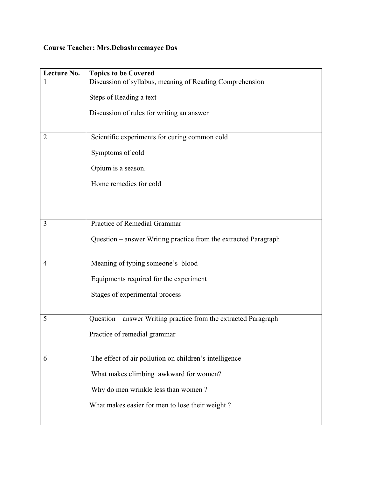### **Course Teacher: Mrs.Debashreemayee Das**

| Lecture No.    | <b>Topics to be Covered</b>                                     |
|----------------|-----------------------------------------------------------------|
|                | Discussion of syllabus, meaning of Reading Comprehension        |
|                | Steps of Reading a text                                         |
|                | Discussion of rules for writing an answer                       |
|                |                                                                 |
| $\overline{2}$ | Scientific experiments for curing common cold                   |
|                | Symptoms of cold                                                |
|                | Opium is a season.                                              |
|                | Home remedies for cold                                          |
|                |                                                                 |
|                |                                                                 |
| 3              | Practice of Remedial Grammar                                    |
|                | Question – answer Writing practice from the extracted Paragraph |
|                |                                                                 |
| 4              | Meaning of typing someone's blood                               |
|                | Equipments required for the experiment                          |
|                | Stages of experimental process                                  |
|                |                                                                 |
| 5              | Question - answer Writing practice from the extracted Paragraph |
|                | Practice of remedial grammar                                    |
|                |                                                                 |
| 6              | The effect of air pollution on children's intelligence          |
|                | What makes climbing awkward for women?                          |
|                | Why do men wrinkle less than women?                             |
|                | What makes easier for men to lose their weight?                 |
|                |                                                                 |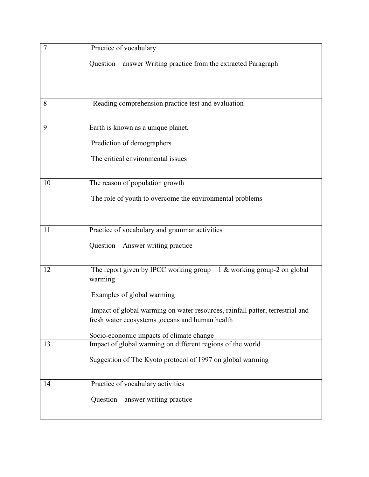| $\overline{7}$ | Practice of vocabulary                                                             |
|----------------|------------------------------------------------------------------------------------|
|                | Question – answer Writing practice from the extracted Paragraph                    |
|                |                                                                                    |
|                |                                                                                    |
| 8              | Reading comprehension practice test and evaluation                                 |
| 9              | Earth is known as a unique planet.                                                 |
|                | Prediction of demographers                                                         |
|                | The critical environmental issues                                                  |
| 10             | The reason of population growth                                                    |
|                |                                                                                    |
|                | The role of youth to overcome the environmental problems                           |
|                |                                                                                    |
| 11             | Practice of vocabulary and grammar activities                                      |
|                | Question – Answer writing practice                                                 |
|                |                                                                                    |
| 12             | The report given by IPCC working group $-1$ & working group-2 on global<br>warming |
|                | Examples of global warming                                                         |
|                | Impact of global warming on water resources, rainfall patter, terrestrial and      |
|                | fresh water ecosystems ,oceans and human health                                    |
|                | Socio-economic impacts of climate change                                           |
| 13             | Impact of global warming on different regions of the world                         |
|                | Suggestion of The Kyoto protocol of 1997 on global warming                         |
|                |                                                                                    |
| 14             | Practice of vocabulary activities                                                  |
|                | Question – answer writing practice                                                 |
|                |                                                                                    |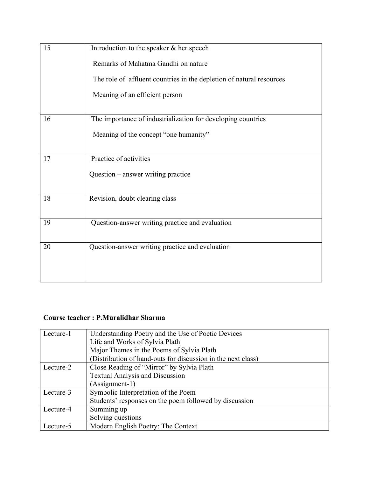| 15 | Introduction to the speaker & her speech                             |
|----|----------------------------------------------------------------------|
|    | Remarks of Mahatma Gandhi on nature                                  |
|    | The role of affluent countries in the depletion of natural resources |
|    | Meaning of an efficient person                                       |
| 16 | The importance of industrialization for developing countries         |
|    | Meaning of the concept "one humanity"                                |
| 17 | Practice of activities                                               |
|    | Question - answer writing practice                                   |
| 18 | Revision, doubt clearing class                                       |
| 19 | Question-answer writing practice and evaluation                      |
| 20 | Question-answer writing practice and evaluation                      |
|    |                                                                      |

#### **Course teacher : P.Muralidhar Sharma**

| Lecture-1 | Understanding Poetry and the Use of Poetic Devices<br>Life and Works of Sylvia Plath |
|-----------|--------------------------------------------------------------------------------------|
|           | Major Themes in the Poems of Sylvia Plath                                            |
|           | (Distribution of hand-outs for discussion in the next class)                         |
| Lecture-2 | Close Reading of "Mirror" by Sylvia Plath                                            |
|           | <b>Textual Analysis and Discussion</b>                                               |
|           | (Assignment-1)                                                                       |
| Lecture-3 | Symbolic Interpretation of the Poem                                                  |
|           | Students' responses on the poem followed by discussion                               |
| Lecture-4 | Summing up                                                                           |
|           | Solving questions                                                                    |
| Lecture-5 | Modern English Poetry: The Context                                                   |